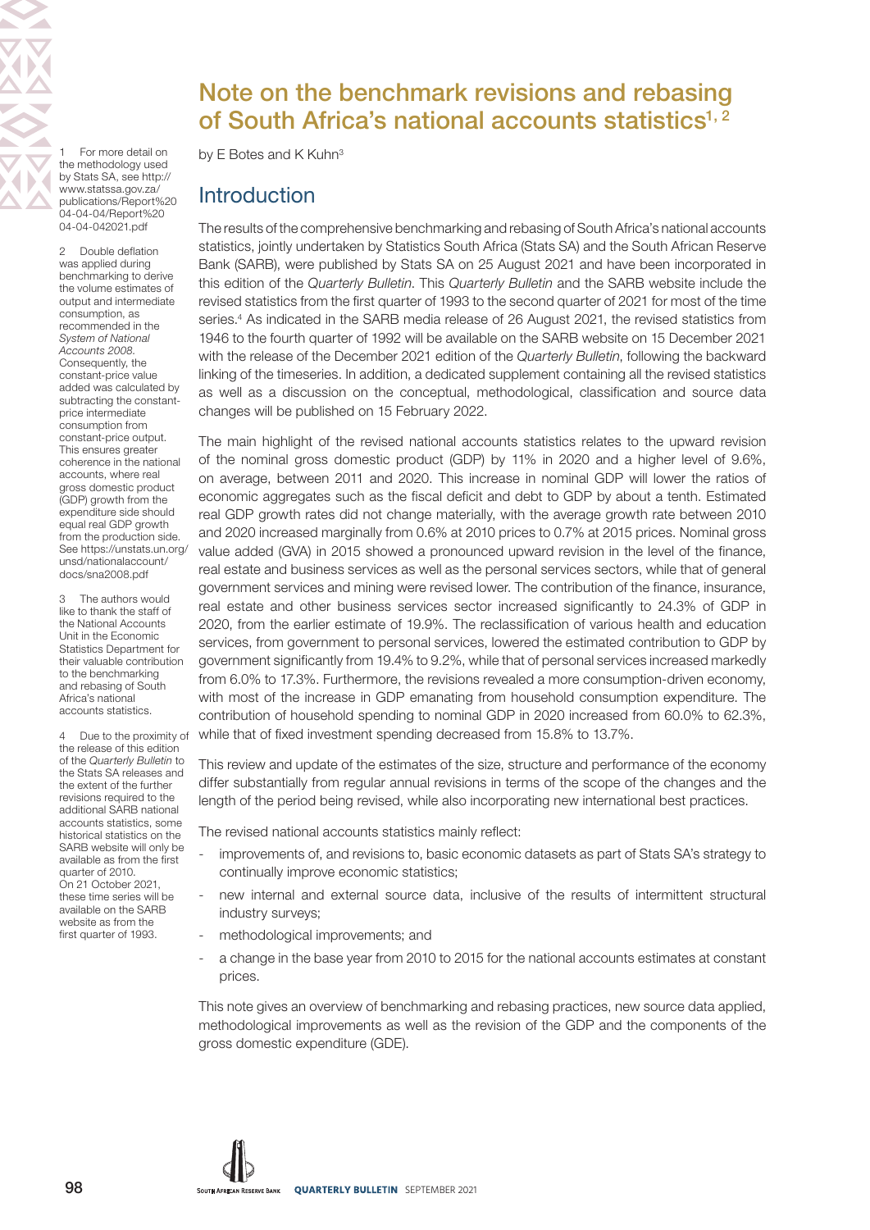For more detail on the methodology used by Stats SA, see [http://](http://www.statssa.gov.za/publications/Report%2004-04-04/Report%2004-04-042021.pdf) [www.statssa.gov.za/](http://www.statssa.gov.za/publications/Report%2004-04-04/Report%2004-04-042021.pdf) [publications/Report%20](http://www.statssa.gov.za/publications/Report%2004-04-04/Report%2004-04-042021.pdf) [04-04-04/Report%20](http://www.statssa.gov.za/publications/Report%2004-04-04/Report%2004-04-042021.pdf) [04-04-042021.pdf](http://www.statssa.gov.za/publications/Report%2004-04-04/Report%2004-04-042021.pdf)

2 Double deflation was applied during benchmarking to derive the volume estimates of output and intermediate consumption, as recommended in the System of National Accounts 2008. Consequently, the constant-price value added was calculated by subtracting the constantprice intermediate consumption from constant-price output. This ensures greater coherence in the national accounts, where real gross domestic product (GDP) growth from the expenditure side should equal real GDP growth from the production side. See [https://unstats.un.org/](https://unstats.un.org/unsd/nationalaccount/docs/sna2008.pdf) [unsd/nationalaccount/](https://unstats.un.org/unsd/nationalaccount/docs/sna2008.pdf) [docs/sna2008.pdf](https://unstats.un.org/unsd/nationalaccount/docs/sna2008.pdf)

3 [The authors would](https://unstats.un.org/unsd/nationalaccount/docs/sna2008.pdf)  [like to thank the staff of](https://unstats.un.org/unsd/nationalaccount/docs/sna2008.pdf)  [the National Accounts](https://unstats.un.org/unsd/nationalaccount/docs/sna2008.pdf)  [Unit in the Economic](https://unstats.un.org/unsd/nationalaccount/docs/sna2008.pdf)  [Statistics Department for](https://unstats.un.org/unsd/nationalaccount/docs/sna2008.pdf)  [their valuable contribution](https://unstats.un.org/unsd/nationalaccount/docs/sna2008.pdf)  [to the benchmarking](https://unstats.un.org/unsd/nationalaccount/docs/sna2008.pdf)  [and rebasing of South](https://unstats.un.org/unsd/nationalaccount/docs/sna2008.pdf)  [Africa's national](https://unstats.un.org/unsd/nationalaccount/docs/sna2008.pdf)  [accounts statistics.](https://unstats.un.org/unsd/nationalaccount/docs/sna2008.pdf)

4 [Due to the proximity of](https://unstats.un.org/unsd/nationalaccount/docs/sna2008.pdf)  [the release of this edition](https://unstats.un.org/unsd/nationalaccount/docs/sna2008.pdf)  of the [Quarterly Bulletin](https://unstats.un.org/unsd/nationalaccount/docs/sna2008.pdf) to [the Stats SA releases and](https://unstats.un.org/unsd/nationalaccount/docs/sna2008.pdf)  [the extent of the further](https://unstats.un.org/unsd/nationalaccount/docs/sna2008.pdf)  [revisions required to the](https://unstats.un.org/unsd/nationalaccount/docs/sna2008.pdf)  [additional SARB national](https://unstats.un.org/unsd/nationalaccount/docs/sna2008.pdf)  [accounts statistics, some](https://unstats.un.org/unsd/nationalaccount/docs/sna2008.pdf)  [historical statistics on the](https://unstats.un.org/unsd/nationalaccount/docs/sna2008.pdf)  [SARB website will only be](https://unstats.un.org/unsd/nationalaccount/docs/sna2008.pdf)  [available as from the first](https://unstats.un.org/unsd/nationalaccount/docs/sna2008.pdf)  [quarter of 2010.](https://unstats.un.org/unsd/nationalaccount/docs/sna2008.pdf)  [On 21 October 2021,](https://unstats.un.org/unsd/nationalaccount/docs/sna2008.pdf)  [these time series will be](https://unstats.un.org/unsd/nationalaccount/docs/sna2008.pdf)  [available on the SARB](https://unstats.un.org/unsd/nationalaccount/docs/sna2008.pdf)  [website as from the](https://unstats.un.org/unsd/nationalaccount/docs/sna2008.pdf)  [first quarter of 1993.](https://unstats.un.org/unsd/nationalaccount/docs/sna2008.pdf)

# Note on the benchmark revisions and rebasing of South Africa's national accounts statistics $1, 2$

by E Botes and K Kuhn<sup>3</sup>

## **Introduction**

The results of the comprehensive benchmarking and rebasing of South Africa's national accounts statistics, jointly undertaken by Statistics South Africa (Stats SA) and the South African Reserve Bank (SARB), were published by Stats SA on 25 August 2021 and have been incorporated in this edition of the Quarterly Bulletin. This Quarterly Bulletin and the SARB website include the revised statistics from the first quarter of 1993 to the second quarter of 2021 for most of the time series.<sup>4</sup> As indicated in the SARB media release of 26 August 2021, the revised statistics from 1946 to the fourth quarter of 1992 will be available on the SARB website on 15 December 2021 with the release of the December 2021 edition of the Quarterly Bulletin, following the backward linking of the timeseries. In addition, a dedicated supplement containing all the revised statistics as well as a discussion on the conceptual, methodological, classification and source data changes will be published on 15 February 2022.

The main highlight of the revised national accounts statistics relates to the upward revision of the nominal gross domestic product (GDP) by 11% in 2020 and a higher level of 9.6%, on average, between 2011 and 2020. This increase in nominal GDP will lower the ratios of economic aggregates such as the fiscal deficit and debt to GDP by about a tenth. Estimated real GDP growth rates did not change materially, with the average growth rate between 2010 and 2020 increased marginally from 0.6% at 2010 prices to 0.7% at 2015 prices. Nominal gross value added (GVA) in 2015 showed a pronounced upward revision in the level of the finance, real estate and business services as well as the personal services sectors, while that of general government services and mining were revised lower. The contribution of the finance, insurance, real estate and other business services sector increased significantly to 24.3% of GDP in 2020, from the earlier estimate of 19.9%. The reclassification of various health and education services, from government to personal services, lowered the estimated contribution to GDP by government significantly from 19.4% to 9.2%, while that of personal services increased markedly from 6.0% to 17.3%. Furthermore, the revisions revealed a more consumption-driven economy, with most of the increase in GDP emanating from household consumption expenditure. The contribution of household spending to nominal GDP in 2020 increased from 60.0% to 62.3%, while that of fixed investment spending decreased from 15.8% to 13.7%.

This review and update of the estimates of the size, structure and performance of the economy differ substantially from regular annual revisions in terms of the scope of the changes and the length of the period being revised, while also incorporating new international best practices.

The revised national accounts statistics mainly reflect:

- improvements of, and revisions to, basic economic datasets as part of Stats SA's strategy to continually improve economic statistics;
- new internal and external source data, inclusive of the results of intermittent structural industry surveys;
- methodological improvements; and
- a change in the base year from 2010 to 2015 for the national accounts estimates at constant prices.

This note gives an overview of benchmarking and rebasing practices, new source data applied, methodological improvements as well as the revision of the GDP and the components of the gross domestic expenditure (GDE).

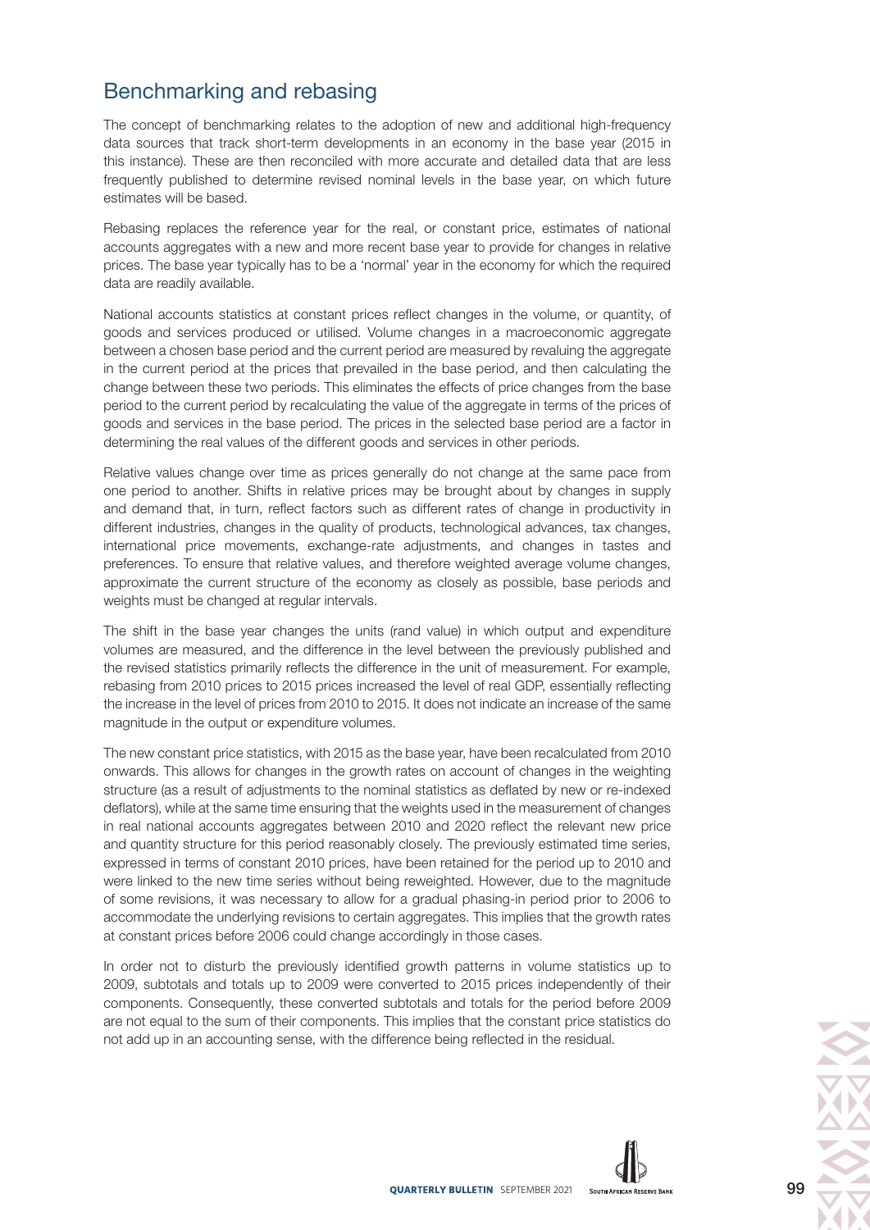## Benchmarking and rebasing

The concept of benchmarking relates to the adoption of new and additional high-frequency data sources that track short-term developments in an economy in the base year (2015 in this instance). These are then reconciled with more accurate and detailed data that are less frequently published to determine revised nominal levels in the base year, on which future estimates will be based.

Rebasing replaces the reference year for the real, or constant price, estimates of national accounts aggregates with a new and more recent base year to provide for changes in relative prices. The base year typically has to be a 'normal' year in the economy for which the required data are readily available.

National accounts statistics at constant prices reflect changes in the volume, or quantity, of goods and services produced or utilised. Volume changes in a macroeconomic aggregate between a chosen base period and the current period are measured by revaluing the aggregate in the current period at the prices that prevailed in the base period, and then calculating the change between these two periods. This eliminates the effects of price changes from the base period to the current period by recalculating the value of the aggregate in terms of the prices of goods and services in the base period. The prices in the selected base period are a factor in determining the real values of the different goods and services in other periods.

Relative values change over time as prices generally do not change at the same pace from one period to another. Shifts in relative prices may be brought about by changes in supply and demand that, in turn, reflect factors such as different rates of change in productivity in different industries, changes in the quality of products, technological advances, tax changes, international price movements, exchange-rate adjustments, and changes in tastes and preferences. To ensure that relative values, and therefore weighted average volume changes, approximate the current structure of the economy as closely as possible, base periods and weights must be changed at regular intervals.

The shift in the base year changes the units (rand value) in which output and expenditure volumes are measured, and the difference in the level between the previously published and the revised statistics primarily reflects the difference in the unit of measurement. For example, rebasing from 2010 prices to 2015 prices increased the level of real GDP, essentially reflecting the increase in the level of prices from 2010 to 2015. It does not indicate an increase of the same magnitude in the output or expenditure volumes.

The new constant price statistics, with 2015 as the base year, have been recalculated from 2010 onwards. This allows for changes in the growth rates on account of changes in the weighting structure (as a result of adjustments to the nominal statistics as deflated by new or re-indexed deflators), while at the same time ensuring that the weights used in the measurement of changes in real national accounts aggregates between 2010 and 2020 reflect the relevant new price and quantity structure for this period reasonably closely. The previously estimated time series, expressed in terms of constant 2010 prices, have been retained for the period up to 2010 and were linked to the new time series without being reweighted. However, due to the magnitude of some revisions, it was necessary to allow for a gradual phasing-in period prior to 2006 to accommodate the underlying revisions to certain aggregates. This implies that the growth rates at constant prices before 2006 could change accordingly in those cases.

In order not to disturb the previously identified growth patterns in volume statistics up to 2009, subtotals and totals up to 2009 were converted to 2015 prices independently of their components. Consequently, these converted subtotals and totals for the period before 2009 are not equal to the sum of their components. This implies that the constant price statistics do not add up in an accounting sense, with the difference being reflected in the residual.

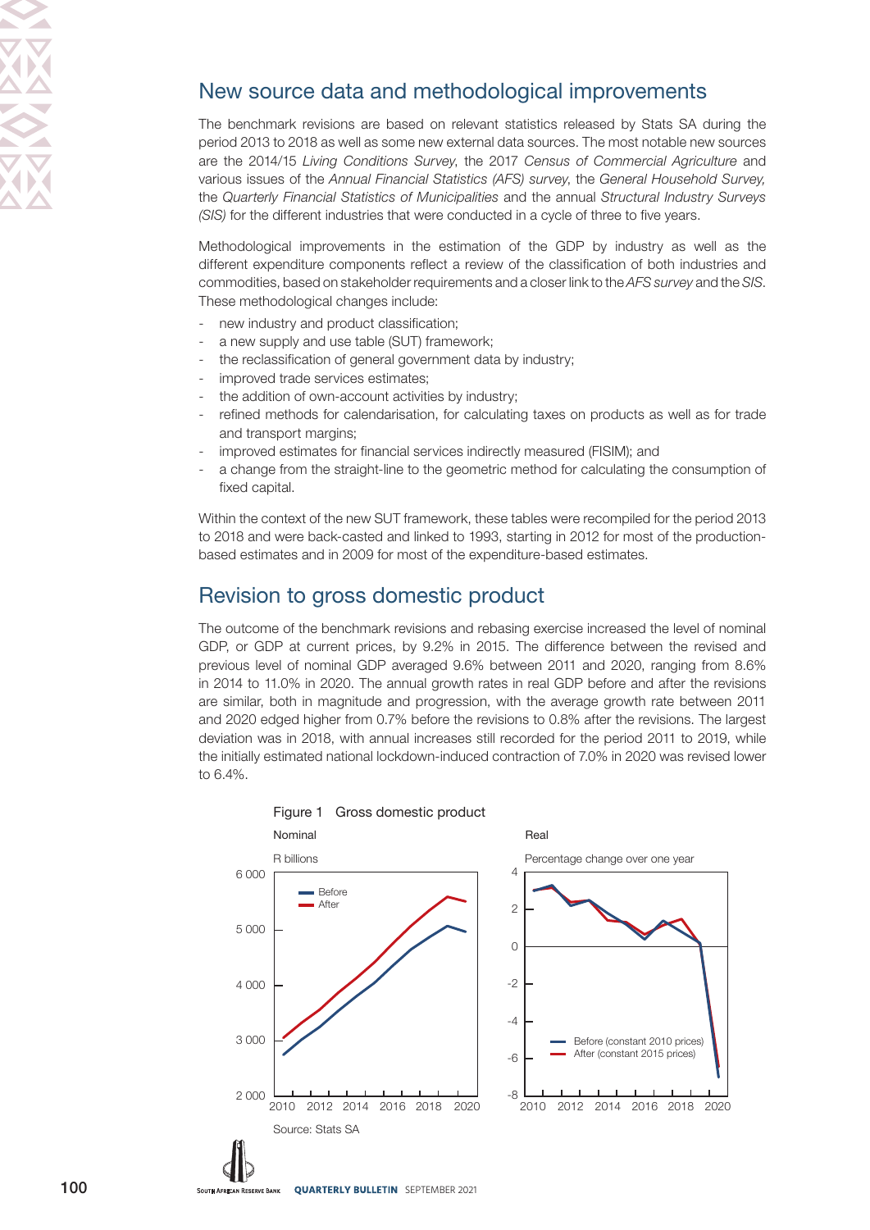# New source data and methodological improvements

The benchmark revisions are based on relevant statistics released by Stats SA during the period 2013 to 2018 as well as some new external data sources. The most notable new sources are the 2014/15 Living Conditions Survey, the 2017 Census of Commercial Agriculture and various issues of the Annual Financial Statistics (AFS) survey, the General Household Survey, the Quarterly Financial Statistics of Municipalities and the annual Structural Industry Surveys (SIS) for the different industries that were conducted in a cycle of three to five years.

Methodological improvements in the estimation of the GDP by industry as well as the different expenditure components reflect a review of the classification of both industries and commodities, based on stakeholder requirements and a closer link to the AFS survey and the SIS. These methodological changes include:

- new industry and product classification;
- a new supply and use table (SUT) framework;
- the reclassification of general government data by industry;
- improved trade services estimates:
- the addition of own-account activities by industry;
- refined methods for calendarisation, for calculating taxes on products as well as for trade and transport margins;
- improved estimates for financial services indirectly measured (FISIM); and
- a change from the straight-line to the geometric method for calculating the consumption of fixed capital.

Within the context of the new SUT framework, these tables were recompiled for the period 2013 to 2018 and were back-casted and linked to 1993, starting in 2012 for most of the productionbased estimates and in 2009 for most of the expenditure-based estimates.

### Revision to gross domestic product

The outcome of the benchmark revisions and rebasing exercise increased the level of nominal GDP, or GDP at current prices, by 9.2% in 2015. The difference between the revised and previous level of nominal GDP averaged 9.6% between 2011 and 2020, ranging from 8.6% in 2014 to 11.0% in 2020. The annual growth rates in real GDP before and after the revisions are similar, both in magnitude and progression, with the average growth rate between 2011 and 2020 edged higher from 0.7% before the revisions to 0.8% after the revisions. The largest deviation was in 2018, with annual increases still recorded for the period 2011 to 2019, while the initially estimated national lockdown-induced contraction of 7.0% in 2020 was revised lower to 6.4%.



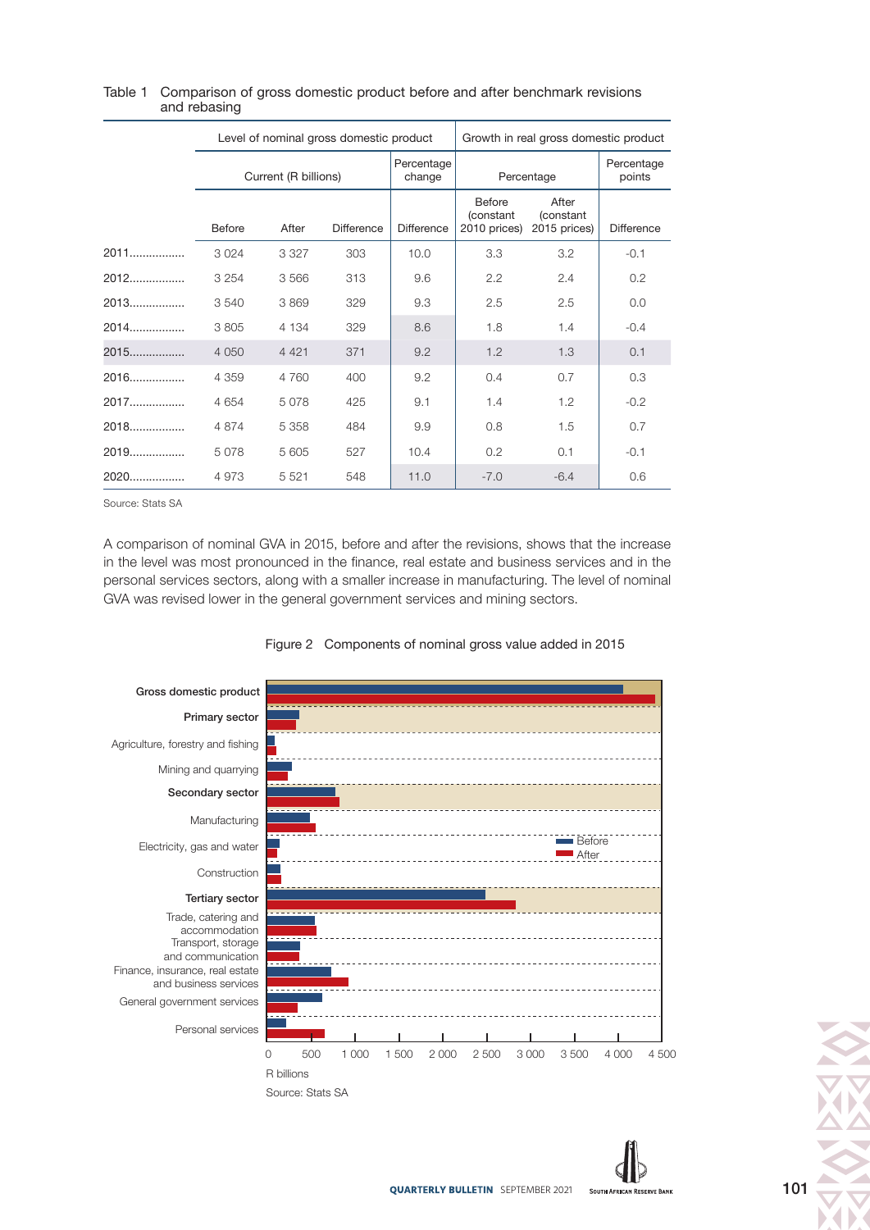|        | Level of nominal gross domestic product |         |                   | Growth in real gross domestic product |                                             |                                            |                   |
|--------|-----------------------------------------|---------|-------------------|---------------------------------------|---------------------------------------------|--------------------------------------------|-------------------|
|        | Current (R billions)                    |         |                   | Percentage<br>change                  | Percentage                                  | Percentage<br>points                       |                   |
|        | <b>Before</b>                           | After   | <b>Difference</b> | <b>Difference</b>                     | Before<br><i>(constant)</i><br>2010 prices) | After<br><i>(constant)</i><br>2015 prices) | <b>Difference</b> |
| $2011$ | 3 0 2 4                                 | 3 3 2 7 | 303               | 10.0                                  | 3.3                                         | 3.2                                        | $-0.1$            |
| 2012   | 3 2 5 4                                 | 3566    | 313               | 9.6                                   | 2.2                                         | 2.4                                        | 0.2               |
| $2013$ | 3540                                    | 3869    | 329               | 9.3                                   | 2.5                                         | 2.5                                        | 0.0               |
| 2014   | 3 8 0 5                                 | 4 1 3 4 | 329               | 8.6                                   | 1.8                                         | 1.4                                        | $-0.4$            |
| 2015   | 4 0 5 0                                 | 4 4 2 1 | 371               | 9.2                                   | 1.2                                         | 1.3                                        | 0.1               |
| 2016   | 4 3 5 9                                 | 4 7 6 0 | 400               | 9.2                                   | 0.4                                         | 0.7                                        | 0.3               |
| 2017   | 4 6 5 4                                 | 5078    | 425               | 9.1                                   | 1.4                                         | 1.2                                        | $-0.2$            |
| 2018   | 4 8 7 4                                 | 5 3 5 8 | 484               | 9.9                                   | 0.8                                         | 1.5                                        | 0.7               |
| 2019   | 5078                                    | 5605    | 527               | 10.4                                  | 0.2                                         | 0.1                                        | $-0.1$            |
| 2020   | 4973                                    | 5 5 21  | 548               | 11.0                                  | $-7.0$                                      | $-6.4$                                     | 0.6               |

#### Table 1 Comparison of gross domestic product before and after benchmark revisions and rebasing

Source: Stats SA

A comparison of nominal GVA in 2015, before and after the revisions, shows that the increase in the level was most pronounced in the finance, real estate and business services and in the personal services sectors, along with a smaller increase in manufacturing. The level of nominal GVA was revised lower in the general government services and mining sectors.



#### Figure 2 Components of nominal gross value added in 2015

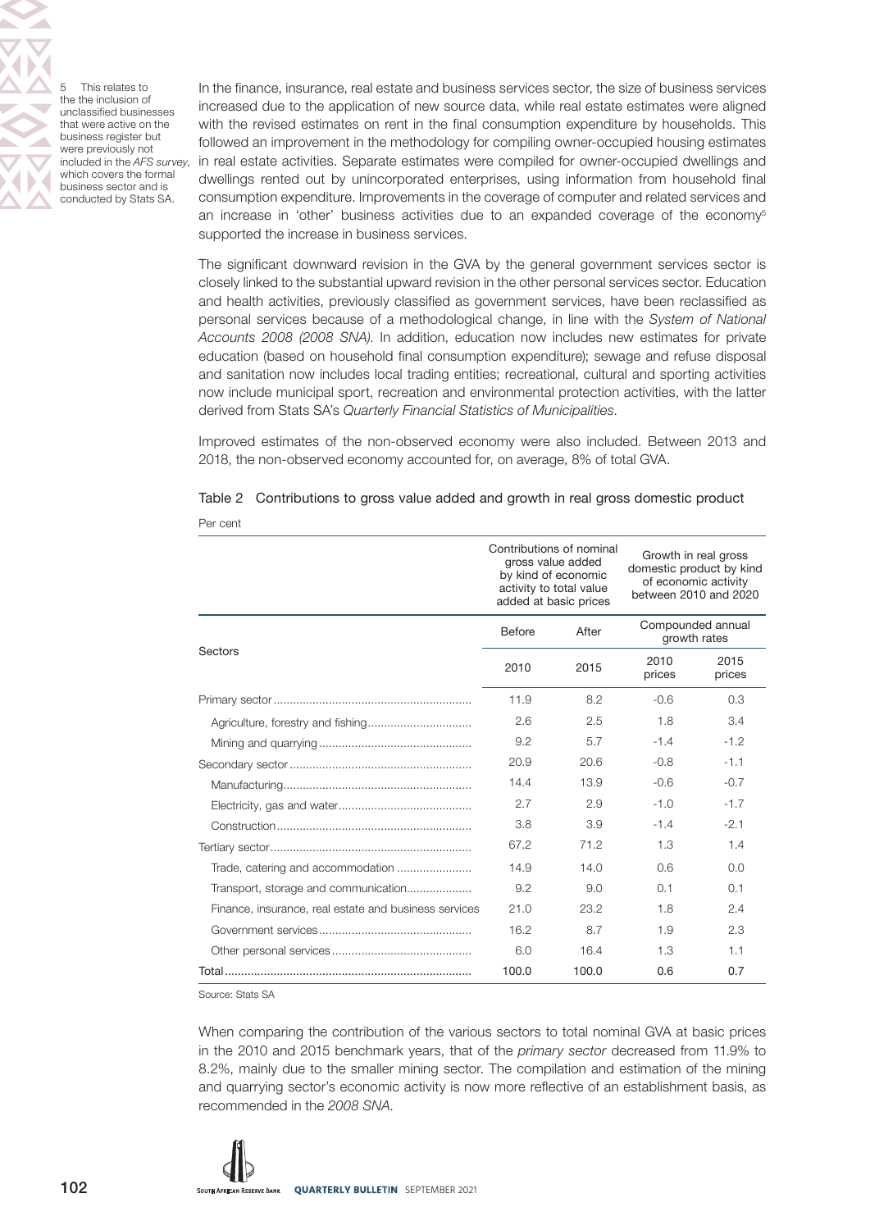5 This relates to the the inclusion of unclassified businesses that were active on the business register but were previously not included in the AFS survey, which covers the formal business sector and is conducted by Stats SA.

In the finance, insurance, real estate and business services sector, the size of business services increased due to the application of new source data, while real estate estimates were aligned with the revised estimates on rent in the final consumption expenditure by households. This followed an improvement in the methodology for compiling owner-occupied housing estimates in real estate activities. Separate estimates were compiled for owner-occupied dwellings and dwellings rented out by unincorporated enterprises, using information from household final consumption expenditure. Improvements in the coverage of computer and related services and an increase in 'other' business activities due to an expanded coverage of the economy<sup>5</sup> supported the increase in business services.

The significant downward revision in the GVA by the general government services sector is closely linked to the substantial upward revision in the other personal services sector. Education and health activities, previously classified as government services, have been reclassified as personal services because of a methodological change, in line with the System of National Accounts 2008 (2008 SNA). In addition, education now includes new estimates for private education (based on household final consumption expenditure); sewage and refuse disposal and sanitation now includes local trading entities; recreational, cultural and sporting activities now include municipal sport, recreation and environmental protection activities, with the latter derived from Stats SA's Quarterly Financial Statistics of Municipalities.

Improved estimates of the non-observed economy were also included. Between 2013 and 2018, the non-observed economy accounted for, on average, 8% of total GVA.

|                                                       |                        | Contributions of nominal<br>gross value added<br>by kind of economic<br>activity to total value<br>added at basic prices | Growth in real gross<br>domestic product by kind<br>of economic activity<br>between 2010 and 2020 |                |
|-------------------------------------------------------|------------------------|--------------------------------------------------------------------------------------------------------------------------|---------------------------------------------------------------------------------------------------|----------------|
|                                                       | <b>Before</b><br>After |                                                                                                                          | Compounded annual<br>growth rates                                                                 |                |
| Sectors                                               | 2010                   | 2015                                                                                                                     | 2010<br>prices                                                                                    | 2015<br>prices |
|                                                       | 11.9                   | 8.2                                                                                                                      | $-0.6$                                                                                            | 0.3            |
|                                                       | 2.6                    | 2.5                                                                                                                      | 1.8                                                                                               | 3.4            |
|                                                       | 9.2                    | 5.7                                                                                                                      | $-1.4$                                                                                            | $-1.2$         |
|                                                       | 20.9                   | 20.6                                                                                                                     | $-0.8$                                                                                            | $-1.1$         |
|                                                       | 14.4                   | 13.9                                                                                                                     | $-0.6$                                                                                            | $-0.7$         |
|                                                       | 2.7                    | 2.9                                                                                                                      | $-1.0$                                                                                            | $-1.7$         |
|                                                       | 3.8                    | 3.9                                                                                                                      | $-1.4$                                                                                            | $-2.1$         |
|                                                       | 67.2                   | 71.2                                                                                                                     | 1.3                                                                                               | 1.4            |
|                                                       | 14.9                   | 14.0                                                                                                                     | 0.6                                                                                               | 0.0            |
| Transport, storage and communication                  | 9.2                    | 9.0                                                                                                                      | 0.1                                                                                               | 0.1            |
| Finance, insurance, real estate and business services | 21.0                   | 23.2                                                                                                                     | 1.8                                                                                               | 2.4            |
|                                                       | 16.2                   | 8.7                                                                                                                      | 1.9                                                                                               | 2.3            |
|                                                       | 6.0                    | 16.4                                                                                                                     | 1.3                                                                                               | 1.1            |
|                                                       | 100.0                  | 100.0                                                                                                                    | 0.6                                                                                               | 0.7            |

|          | Table 2 Contributions to gross value added and growth in real gross domestic product |  |  |  |  |
|----------|--------------------------------------------------------------------------------------|--|--|--|--|
| Per cent |                                                                                      |  |  |  |  |

Source: Stats SA

When comparing the contribution of the various sectors to total nominal GVA at basic prices in the 2010 and 2015 benchmark years, that of the primary sector decreased from 11.9% to 8.2%, mainly due to the smaller mining sector. The compilation and estimation of the mining and quarrying sector's economic activity is now more reflective of an establishment basis, as recommended in the 2008 SNA.

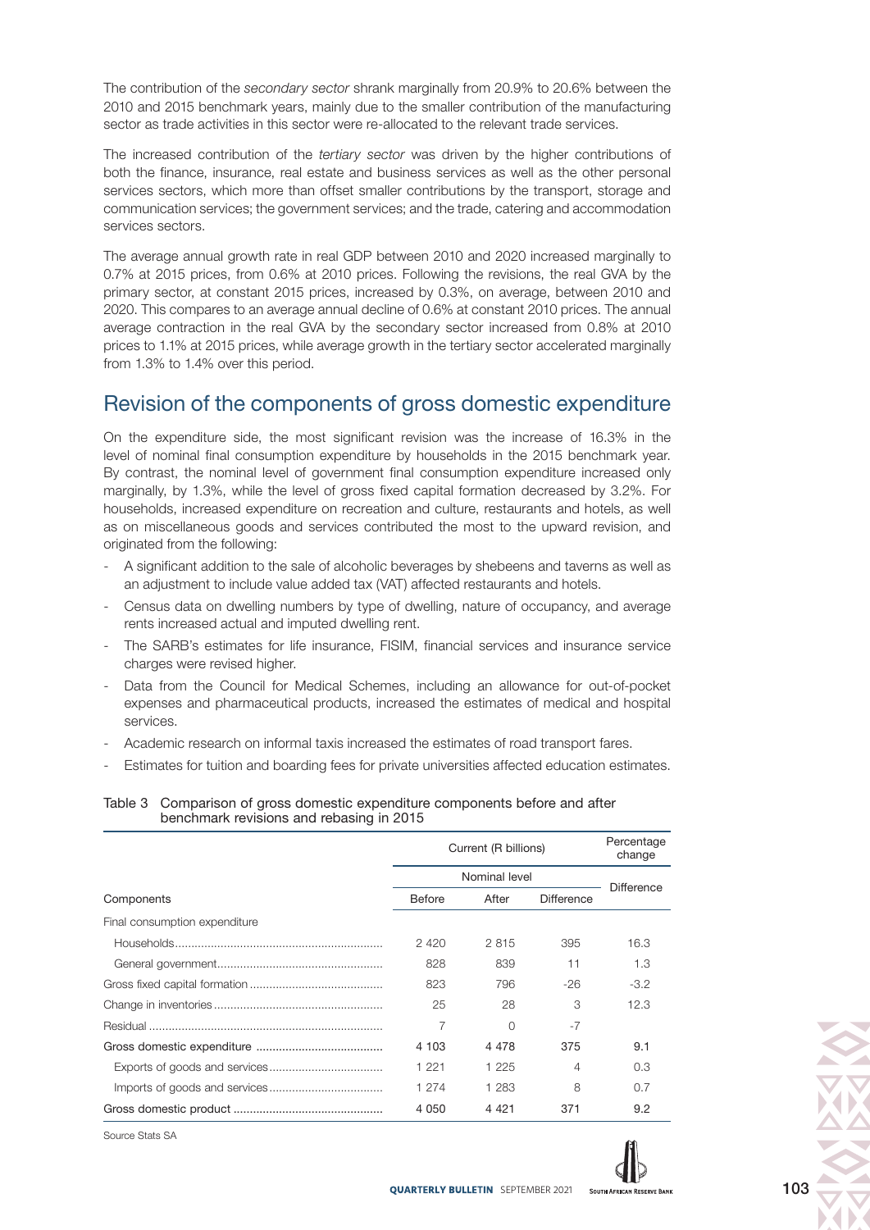The contribution of the secondary sector shrank marginally from 20.9% to 20.6% between the 2010 and 2015 benchmark years, mainly due to the smaller contribution of the manufacturing sector as trade activities in this sector were re-allocated to the relevant trade services.

The increased contribution of the tertiary sector was driven by the higher contributions of both the finance, insurance, real estate and business services as well as the other personal services sectors, which more than offset smaller contributions by the transport, storage and communication services; the government services; and the trade, catering and accommodation services sectors.

The average annual growth rate in real GDP between 2010 and 2020 increased marginally to 0.7% at 2015 prices, from 0.6% at 2010 prices. Following the revisions, the real GVA by the primary sector, at constant 2015 prices, increased by 0.3%, on average, between 2010 and 2020. This compares to an average annual decline of 0.6% at constant 2010 prices. The annual average contraction in the real GVA by the secondary sector increased from 0.8% at 2010 prices to 1.1% at 2015 prices, while average growth in the tertiary sector accelerated marginally from 1.3% to 1.4% over this period.

### Revision of the components of gross domestic expenditure

On the expenditure side, the most significant revision was the increase of 16.3% in the level of nominal final consumption expenditure by households in the 2015 benchmark year. By contrast, the nominal level of government final consumption expenditure increased only marginally, by 1.3%, while the level of gross fixed capital formation decreased by 3.2%. For households, increased expenditure on recreation and culture, restaurants and hotels, as well as on miscellaneous goods and services contributed the most to the upward revision, and originated from the following:

- A significant addition to the sale of alcoholic beverages by shebeens and taverns as well as an adjustment to include value added tax (VAT) affected restaurants and hotels.
- Census data on dwelling numbers by type of dwelling, nature of occupancy, and average rents increased actual and imputed dwelling rent.
- The SARB's estimates for life insurance, FISIM, financial services and insurance service charges were revised higher.
- Data from the Council for Medical Schemes, including an allowance for out-of-pocket expenses and pharmaceutical products, increased the estimates of medical and hospital services.
- Academic research on informal taxis increased the estimates of road transport fares.
- Estimates for tuition and boarding fees for private universities affected education estimates.

#### Table 3 Comparison of gross domestic expenditure components before and after benchmark revisions and rebasing in 2015

|                               | Current (R billions) | Percentage<br>change |                   |        |  |
|-------------------------------|----------------------|----------------------|-------------------|--------|--|
|                               | Nominal level        | <b>Difference</b>    |                   |        |  |
| Components                    | <b>Before</b>        | After                | <b>Difference</b> |        |  |
| Final consumption expenditure |                      |                      |                   |        |  |
|                               | 2420                 | 2815                 | 395               | 16.3   |  |
|                               | 828                  | 839                  | 11                | 1.3    |  |
|                               | 823                  | 796                  | $-26$             | $-3.2$ |  |
|                               | 25                   | 28                   | 3                 | 12.3   |  |
|                               | 7                    | Ω                    | $-7$              |        |  |
|                               | 4 103                | 4 4 7 8              | 375               | 9.1    |  |
|                               | 1 2 2 1              | 1 2 2 5              | 4                 | 0.3    |  |
|                               | 1 274                | 1 283                | 8                 | 0.7    |  |
|                               | 4 0 5 0              | 4 4 2 1              | 371               | 9.2    |  |

Source Stats SA

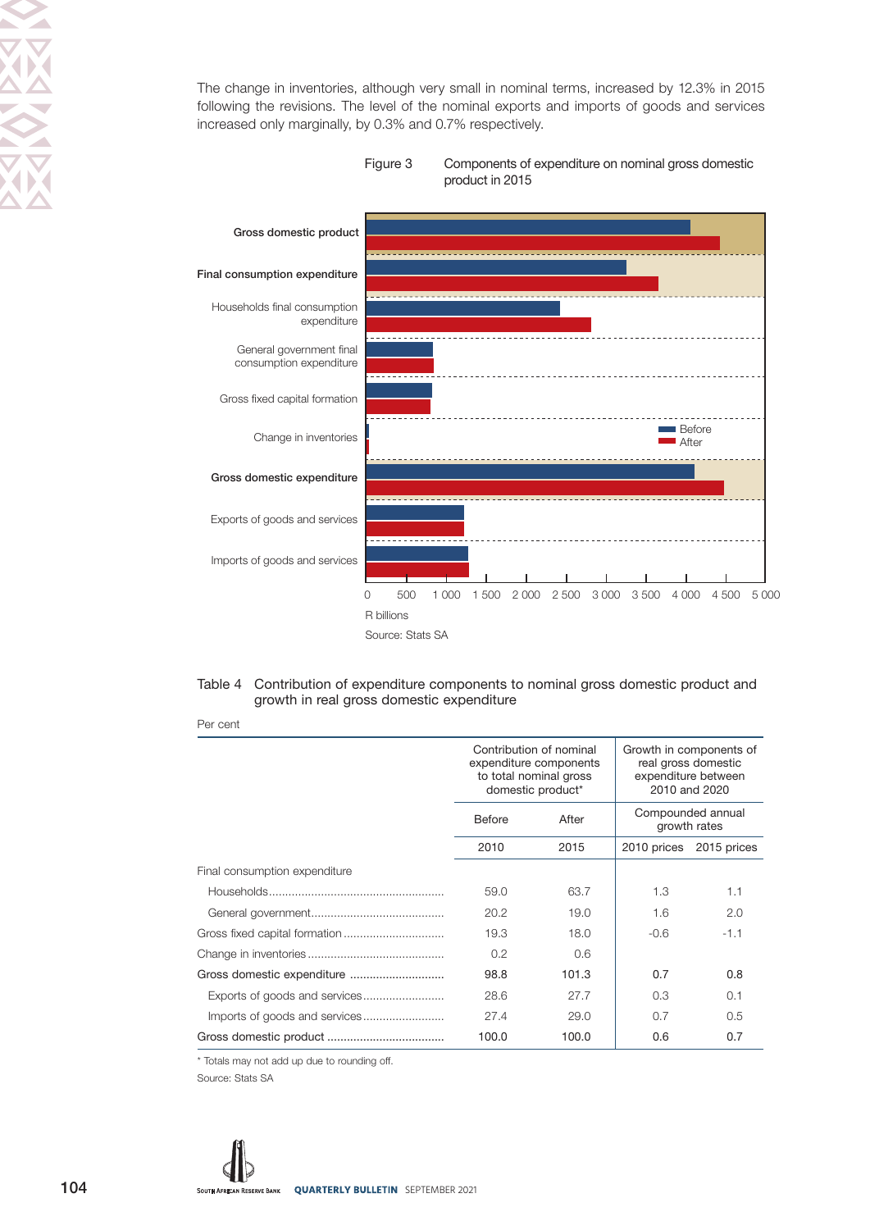The change in inventories, although very small in nominal terms, increased by 12.3% in 2015 following the revisions. The level of the nominal exports and imports of goods and services increased only marginally, by 0.3% and 0.7% respectively.





#### Table 4 Contribution of expenditure components to nominal gross domestic product and growth in real gross domestic expenditure

Per cent

|                               | Contribution of nominal<br>expenditure components<br>to total nominal gross<br>domestic product* |       | Growth in components of<br>real gross domestic<br>expenditure between<br>2010 and 2020 |             |
|-------------------------------|--------------------------------------------------------------------------------------------------|-------|----------------------------------------------------------------------------------------|-------------|
|                               | Before                                                                                           | After | Compounded annual<br>growth rates                                                      |             |
|                               | 2010                                                                                             | 2015  | 2010 prices                                                                            | 2015 prices |
| Final consumption expenditure |                                                                                                  |       |                                                                                        |             |
|                               | 59.0                                                                                             | 63.7  | 1.3                                                                                    | 1.1         |
|                               | 20.2                                                                                             | 19.0  | 1.6                                                                                    | 2.0         |
|                               | 19.3                                                                                             | 18.0  | $-0.6$                                                                                 | $-1.1$      |
|                               | 0.2                                                                                              | 0.6   |                                                                                        |             |
| Gross domestic expenditure    | 98.8                                                                                             | 101.3 | 0.7                                                                                    | 0.8         |
|                               | 28.6                                                                                             | 27.7  | 0.3                                                                                    | 0.1         |
|                               | 27.4                                                                                             | 29.0  | 0.7                                                                                    | 0.5         |
|                               | 100.0                                                                                            | 100.0 | 0.6                                                                                    | 0.7         |

\* Totals may not add up due to rounding off.

Source: Stats SA